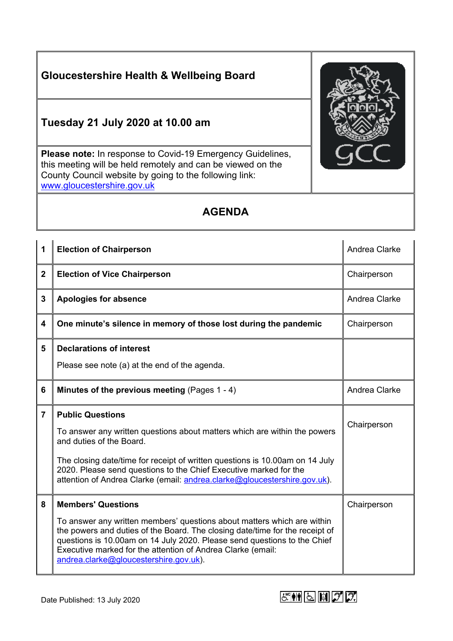## **Gloucestershire Health & Wellbeing Board**

## **Tuesday 21 July 2020 at 10.00 am**

**Please note:** In response to Covid-19 Emergency Guidelines, this meeting will be held remotely and can be viewed on the County Council website by going to the following link: [www.gloucestershire.gov.uk](http://www.gloucestershire.gov.uk/)

## **AGENDA**

| 1              | <b>Election of Chairperson</b>                                                                                                                                                                                                 | Andrea Clarke |
|----------------|--------------------------------------------------------------------------------------------------------------------------------------------------------------------------------------------------------------------------------|---------------|
| $\mathbf 2$    | <b>Election of Vice Chairperson</b>                                                                                                                                                                                            | Chairperson   |
| 3              | <b>Apologies for absence</b>                                                                                                                                                                                                   | Andrea Clarke |
| 4              | One minute's silence in memory of those lost during the pandemic                                                                                                                                                               | Chairperson   |
| 5              | <b>Declarations of interest</b>                                                                                                                                                                                                |               |
|                | Please see note (a) at the end of the agenda.                                                                                                                                                                                  |               |
| 6              | Minutes of the previous meeting (Pages 1 - 4)                                                                                                                                                                                  | Andrea Clarke |
|                |                                                                                                                                                                                                                                |               |
| $\overline{7}$ | <b>Public Questions</b>                                                                                                                                                                                                        |               |
|                | To answer any written questions about matters which are within the powers<br>and duties of the Board.                                                                                                                          | Chairperson   |
|                | The closing date/time for receipt of written questions is 10.00am on 14 July<br>2020. Please send questions to the Chief Executive marked for the<br>attention of Andrea Clarke (email: andrea.clarke@gloucestershire.gov.uk). |               |
| 8              | <b>Members' Questions</b>                                                                                                                                                                                                      | Chairperson   |



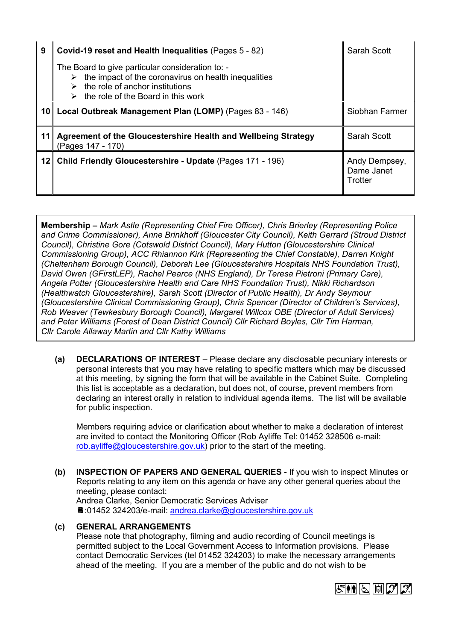| 9               | Covid-19 reset and Health Inequalities (Pages 5 - 82)                                                                                                                                                               | Sarah Scott                            |
|-----------------|---------------------------------------------------------------------------------------------------------------------------------------------------------------------------------------------------------------------|----------------------------------------|
|                 | The Board to give particular consideration to: -<br>$\triangleright$ the impact of the coronavirus on health inequalities<br>the role of anchor institutions<br>$\triangleright$ the role of the Board in this work |                                        |
|                 | 10 Local Outbreak Management Plan (LOMP) (Pages 83 - 146)                                                                                                                                                           | Siobhan Farmer                         |
| 11              | Agreement of the Gloucestershire Health and Wellbeing Strategy<br>(Pages 147 - 170)                                                                                                                                 | Sarah Scott                            |
| 12 <sup>1</sup> | Child Friendly Gloucestershire - Update (Pages 171 - 196)                                                                                                                                                           | Andy Dempsey,<br>Dame Janet<br>Trotter |

**Membership –** *Mark Astle (Representing Chief Fire Officer), Chris Brierley (Representing Police and Crime Commissioner), Anne Brinkhoff (Gloucester City Council), Keith Gerrard (Stroud District Council), Christine Gore (Cotswold District Council), Mary Hutton (Gloucestershire Clinical Commissioning Group), ACC Rhiannon Kirk (Representing the Chief Constable), Darren Knight (Cheltenham Borough Council), Deborah Lee (Gloucestershire Hospitals NHS Foundation Trust), David Owen (GFirstLEP), Rachel Pearce (NHS England), Dr Teresa Pietroni (Primary Care), Angela Potter (Gloucestershire Health and Care NHS Foundation Trust), Nikki Richardson (Healthwatch Gloucestershire), Sarah Scott (Director of Public Health), Dr Andy Seymour (Gloucestershire Clinical Commissioning Group), Chris Spencer (Director of Children's Services), Rob Weaver (Tewkesbury Borough Council), Margaret Willcox OBE (Director of Adult Services) and Peter Williams (Forest of Dean District Council) Cllr Richard Boyles, Cllr Tim Harman, Cllr Carole Allaway Martin and Cllr Kathy Williams*

**(a) DECLARATIONS OF INTEREST** – Please declare any disclosable pecuniary interests or personal interests that you may have relating to specific matters which may be discussed at this meeting, by signing the form that will be available in the Cabinet Suite. Completing this list is acceptable as a declaration, but does not, of course, prevent members from declaring an interest orally in relation to individual agenda items. The list will be available for public inspection.

Members requiring advice or clarification about whether to make a declaration of interest are invited to contact the Monitoring Officer (Rob Ayliffe Tel: 01452 328506 e-mail: [rob.ayliffe@gloucestershire.gov.uk](mailto:jane.burns@gloucestershire.gov.uk)) prior to the start of the meeting.

**(b) INSPECTION OF PAPERS AND GENERAL QUERIES** - If you wish to inspect Minutes or Reports relating to any item on this agenda or have any other general queries about the meeting, please contact: Andrea Clarke, Senior Democratic Services Adviser :01452 324203/e-mail: [andrea.clarke@gloucestershire.gov.uk](mailto:andrea.clarke@gloucestershire.gov.uk)

## **(c) GENERAL ARRANGEMENTS**

Please note that photography, filming and audio recording of Council meetings is permitted subject to the Local Government Access to Information provisions. Please contact Democratic Services (tel 01452 324203) to make the necessary arrangements ahead of the meeting. If you are a member of the public and do not wish to be